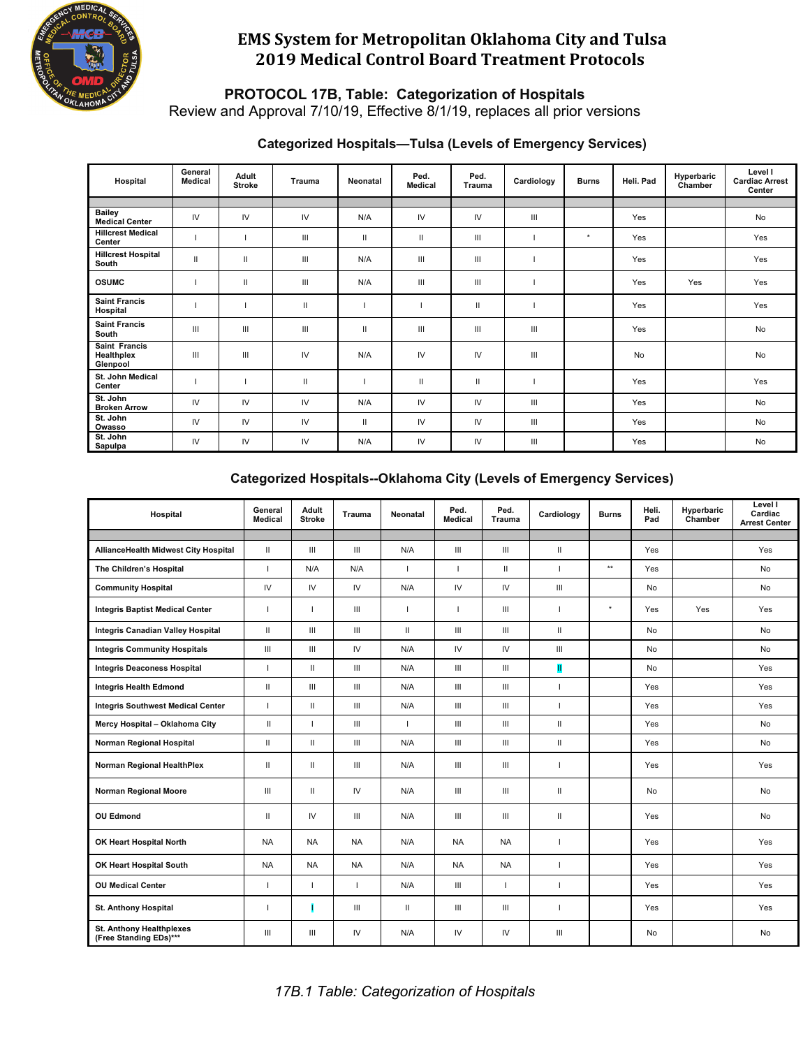

**PROTOCOL 17B, Table: Categorization of Hospitals**

Review and Approval 7/10/19, Effective 8/1/19, replaces all prior versions

#### **Categorized Hospitals—Tulsa (Levels of Emergency Services)**

| Hospital                                | General<br><b>Medical</b> | Adult<br><b>Stroke</b> | <b>Trauma</b> | Neonatal | Ped.<br><b>Medical</b> | Ped.<br><b>Trauma</b> | Cardiology | <b>Burns</b> | Heli. Pad | Hyperbaric<br>Chamber | Level I<br><b>Cardiac Arrest</b><br>Center |
|-----------------------------------------|---------------------------|------------------------|---------------|----------|------------------------|-----------------------|------------|--------------|-----------|-----------------------|--------------------------------------------|
|                                         |                           |                        |               |          |                        |                       |            |              |           |                       |                                            |
| <b>Bailey</b><br><b>Medical Center</b>  | IV                        | IV                     | IV            | N/A      | IV                     | IV                    | Ш          |              | Yes       |                       | No                                         |
| <b>Hillcrest Medical</b><br>Center      |                           |                        | Ш             | Ш        | Ш                      | Ш                     |            | $\star$      | Yes       |                       | Yes                                        |
| <b>Hillcrest Hospital</b><br>South      | $\mathbf{H}$              | Ш                      | Ш             | N/A      | Ш                      | Ш                     |            |              | Yes       |                       | Yes                                        |
| <b>OSUMC</b>                            |                           | Ш                      | Ш             | N/A      | Ш                      | Ш                     |            |              | Yes       | Yes                   | Yes                                        |
| <b>Saint Francis</b><br>Hospital        |                           |                        | $\mathbf{H}$  |          |                        | Ш                     |            |              | Yes       |                       | Yes                                        |
| <b>Saint Francis</b><br>South           | Ш                         | Ш                      | Ш             | Ш        | Ш                      | Ш                     | Ш          |              | Yes       |                       | No                                         |
| Saint Francis<br>Healthplex<br>Glenpool | Ш                         | Ш                      | IV            | N/A      | IV                     | IV                    | Ш          |              | No        |                       | No                                         |
| St. John Medical<br>Center              |                           |                        | $\mathbf{H}$  |          | Ш                      | Ш                     |            |              | Yes       |                       | Yes                                        |
| St. John<br><b>Broken Arrow</b>         | IV                        | IV                     | IV            | N/A      | IV                     | IV                    | Ш          |              | Yes       |                       | No                                         |
| St. John<br>Owasso                      | IV                        | IV                     | IV            | Ш        | IV                     | IV                    | Ш          |              | Yes       |                       | No                                         |
| St. John<br>Sapulpa                     | IV                        | IV                     | IV            | N/A      | IV                     | IV                    | Ш          |              | Yes       |                       | No                                         |

#### **Categorized Hospitals--Oklahoma City (Levels of Emergency Services)**

| Hospital                                           | General<br>Medical | Adult<br><b>Stroke</b> | Trauma     | Neonatal                 | Ped.<br>Medical    | Ped.<br><b>Trauma</b> | Cardiology               | <b>Burns</b> | Heli.<br>Pad | Hyperbaric<br>Chamber | Level I<br>Cardiac<br><b>Arrest Center</b> |
|----------------------------------------------------|--------------------|------------------------|------------|--------------------------|--------------------|-----------------------|--------------------------|--------------|--------------|-----------------------|--------------------------------------------|
|                                                    |                    |                        |            |                          |                    |                       |                          |              |              |                       |                                            |
| <b>AllianceHealth Midwest City Hospital</b>        | $\mathsf{I}$       | Ш                      | Ш          | N/A                      | $\mathop{\rm III}$ | Ш                     | $\mathbf{H}$             |              | Yes          |                       | Yes                                        |
| The Children's Hospital                            | $\mathbf{I}$       | N/A                    | N/A        | $\overline{\phantom{a}}$ | $\mathbf{L}$       | Ш                     | $\overline{\phantom{a}}$ | $\star\star$ | Yes          |                       | No                                         |
| <b>Community Hospital</b>                          | ${\sf IV}$         | IV                     | ${\sf IV}$ | N/A                      | $\mathsf{IV}$      | IV                    | Ш                        |              | No           |                       | No                                         |
| <b>Integris Baptist Medical Center</b>             | $\mathbf{I}$       | $\mathbf{I}$           | Ш          | $\overline{\phantom{a}}$ | $\mathbf{I}$       | Ш                     | $\mathbf{I}$             | $\star$      | Yes          | Yes                   | Yes                                        |
| Integris Canadian Valley Hospital                  | Ш                  | Ш                      | Ш          | $\mathbf{H}$             | III                | III                   | $\mathbf{I}$             |              | No           |                       | No                                         |
| <b>Integris Community Hospitals</b>                | III                | Ш                      | IV         | N/A                      | IV                 | IV                    | III                      |              | No           |                       | No                                         |
| <b>Integris Deaconess Hospital</b>                 | $\mathbf{L}$       | $\mathbf{H}$           | Ш          | N/A                      | III                | III                   | П                        |              | No           |                       | Yes                                        |
| <b>Integris Health Edmond</b>                      | Ш                  | Ш                      | Ш          | N/A                      | Ш                  | III                   | $\overline{1}$           |              | Yes          |                       | Yes                                        |
| <b>Integris Southwest Medical Center</b>           | $\mathbf{I}$       | $\mathbf{H}$           | Ш          | N/A                      | $\mathbf{III}$     | III                   | $\mathbf{I}$             |              | Yes          |                       | Yes                                        |
| Mercy Hospital - Oklahoma City                     | $\mathbf{H}$       | $\overline{1}$         | Ш          | $\overline{1}$           | III                | Ш                     | $\mathbf{H}$             |              | Yes          |                       | No                                         |
| Norman Regional Hospital                           | $\mathbf{H}$       | $\mathbf{H}$           | Ш          | N/A                      | $\mathop{\rm III}$ | $\mathop{\rm III}$    | $\mathbf{H}$             |              | Yes          |                       | No                                         |
| Norman Regional HealthPlex                         | Ш                  | Ш                      | Ш          | N/A                      | Ш                  | Ш                     | $\mathbf{I}$             |              | Yes          |                       | Yes                                        |
| <b>Norman Regional Moore</b>                       | Ш                  | $\mathbf{H}$           | IV         | N/A                      | Ш                  | Ш                     | $\mathbf{I}$             |              | No           |                       | No                                         |
| <b>OU Edmond</b>                                   | Ш                  | IV                     | Ш          | N/A                      | Ш                  | $\mathop{\rm III}$    | $\mathbf{H}$             |              | Yes          |                       | No                                         |
| OK Heart Hospital North                            | <b>NA</b>          | <b>NA</b>              | <b>NA</b>  | N/A                      | <b>NA</b>          | <b>NA</b>             | $\overline{\phantom{a}}$ |              | Yes          |                       | Yes                                        |
| OK Heart Hospital South                            | <b>NA</b>          | <b>NA</b>              | <b>NA</b>  | N/A                      | <b>NA</b>          | <b>NA</b>             | $\mathbf{I}$             |              | Yes          |                       | Yes                                        |
| <b>OU Medical Center</b>                           | T.                 | п                      | T          | N/A                      | Ш                  | $\mathbf{I}$          | $\overline{\phantom{a}}$ |              | Yes          |                       | Yes                                        |
| St. Anthony Hospital                               | $\mathbf{I}$       |                        | Ш          | $\mathbf{H}$             | Ш                  | Ш                     | $\mathbf{I}$             |              | Yes          |                       | Yes                                        |
| St. Anthony Healthplexes<br>(Free Standing EDs)*** | III                | Ш                      | IV         | N/A                      | IV                 | IV.                   | Ш                        |              | No           |                       | No                                         |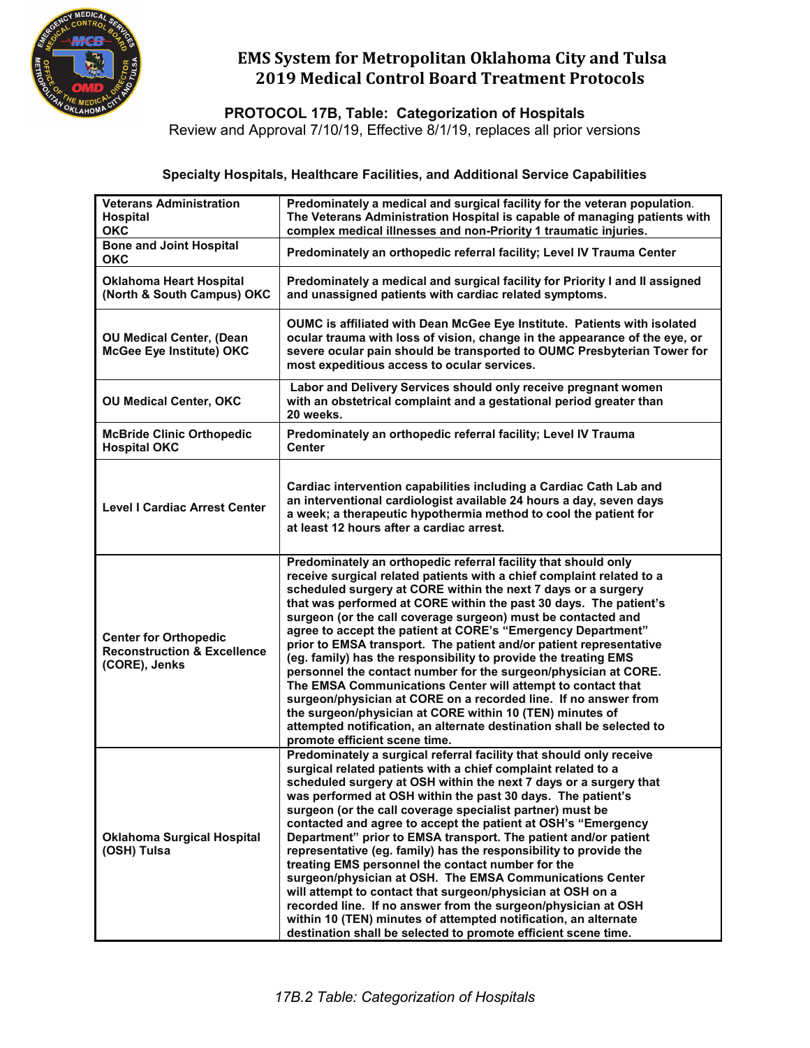

**PROTOCOL 17B, Table: Categorization of Hospitals**

Review and Approval 7/10/19, Effective 8/1/19, replaces all prior versions

#### **Specialty Hospitals, Healthcare Facilities, and Additional Service Capabilities**

| <b>Veterans Administration</b><br><b>Hospital</b><br><b>OKC</b>                         | Predominately a medical and surgical facility for the veteran population.<br>The Veterans Administration Hospital is capable of managing patients with<br>complex medical illnesses and non-Priority 1 traumatic injuries.                                                                                                                                                                                                                                                                                                                                                                                                                                                                                                                                                                                                                                                                                                          |
|-----------------------------------------------------------------------------------------|-------------------------------------------------------------------------------------------------------------------------------------------------------------------------------------------------------------------------------------------------------------------------------------------------------------------------------------------------------------------------------------------------------------------------------------------------------------------------------------------------------------------------------------------------------------------------------------------------------------------------------------------------------------------------------------------------------------------------------------------------------------------------------------------------------------------------------------------------------------------------------------------------------------------------------------|
| <b>Bone and Joint Hospital</b><br><b>OKC</b>                                            | Predominately an orthopedic referral facility; Level IV Trauma Center                                                                                                                                                                                                                                                                                                                                                                                                                                                                                                                                                                                                                                                                                                                                                                                                                                                               |
| Oklahoma Heart Hospital<br>(North & South Campus) OKC                                   | Predominately a medical and surgical facility for Priority I and II assigned<br>and unassigned patients with cardiac related symptoms.                                                                                                                                                                                                                                                                                                                                                                                                                                                                                                                                                                                                                                                                                                                                                                                              |
| <b>OU Medical Center, (Dean</b><br>McGee Eye Institute) OKC                             | OUMC is affiliated with Dean McGee Eye Institute. Patients with isolated<br>ocular trauma with loss of vision, change in the appearance of the eye, or<br>severe ocular pain should be transported to OUMC Presbyterian Tower for<br>most expeditious access to ocular services.                                                                                                                                                                                                                                                                                                                                                                                                                                                                                                                                                                                                                                                    |
| <b>OU Medical Center, OKC</b>                                                           | Labor and Delivery Services should only receive pregnant women<br>with an obstetrical complaint and a gestational period greater than<br>20 weeks.                                                                                                                                                                                                                                                                                                                                                                                                                                                                                                                                                                                                                                                                                                                                                                                  |
| <b>McBride Clinic Orthopedic</b><br><b>Hospital OKC</b>                                 | Predominately an orthopedic referral facility; Level IV Trauma<br><b>Center</b>                                                                                                                                                                                                                                                                                                                                                                                                                                                                                                                                                                                                                                                                                                                                                                                                                                                     |
| <b>Level I Cardiac Arrest Center</b>                                                    | Cardiac intervention capabilities including a Cardiac Cath Lab and<br>an interventional cardiologist available 24 hours a day, seven days<br>a week; a therapeutic hypothermia method to cool the patient for<br>at least 12 hours after a cardiac arrest.                                                                                                                                                                                                                                                                                                                                                                                                                                                                                                                                                                                                                                                                          |
| <b>Center for Orthopedic</b><br><b>Reconstruction &amp; Excellence</b><br>(CORE), Jenks | Predominately an orthopedic referral facility that should only<br>receive surgical related patients with a chief complaint related to a<br>scheduled surgery at CORE within the next 7 days or a surgery<br>that was performed at CORE within the past 30 days. The patient's<br>surgeon (or the call coverage surgeon) must be contacted and<br>agree to accept the patient at CORE's "Emergency Department"<br>prior to EMSA transport. The patient and/or patient representative<br>(eg. family) has the responsibility to provide the treating EMS<br>personnel the contact number for the surgeon/physician at CORE.<br>The EMSA Communications Center will attempt to contact that<br>surgeon/physician at CORE on a recorded line. If no answer from<br>the surgeon/physician at CORE within 10 (TEN) minutes of<br>attempted notification, an alternate destination shall be selected to<br>promote efficient scene time.   |
| <b>Oklahoma Surgical Hospital</b><br>(OSH) Tulsa                                        | Predominately a surgical referral facility that should only receive<br>surgical related patients with a chief complaint related to a<br>scheduled surgery at OSH within the next 7 days or a surgery that<br>was performed at OSH within the past 30 days. The patient's<br>surgeon (or the call coverage specialist partner) must be<br>contacted and agree to accept the patient at OSH's "Emergency<br>Department" prior to EMSA transport. The patient and/or patient<br>representative (eg. family) has the responsibility to provide the<br>treating EMS personnel the contact number for the<br>surgeon/physician at OSH. The EMSA Communications Center<br>will attempt to contact that surgeon/physician at OSH on a<br>recorded line. If no answer from the surgeon/physician at OSH<br>within 10 (TEN) minutes of attempted notification, an alternate<br>destination shall be selected to promote efficient scene time. |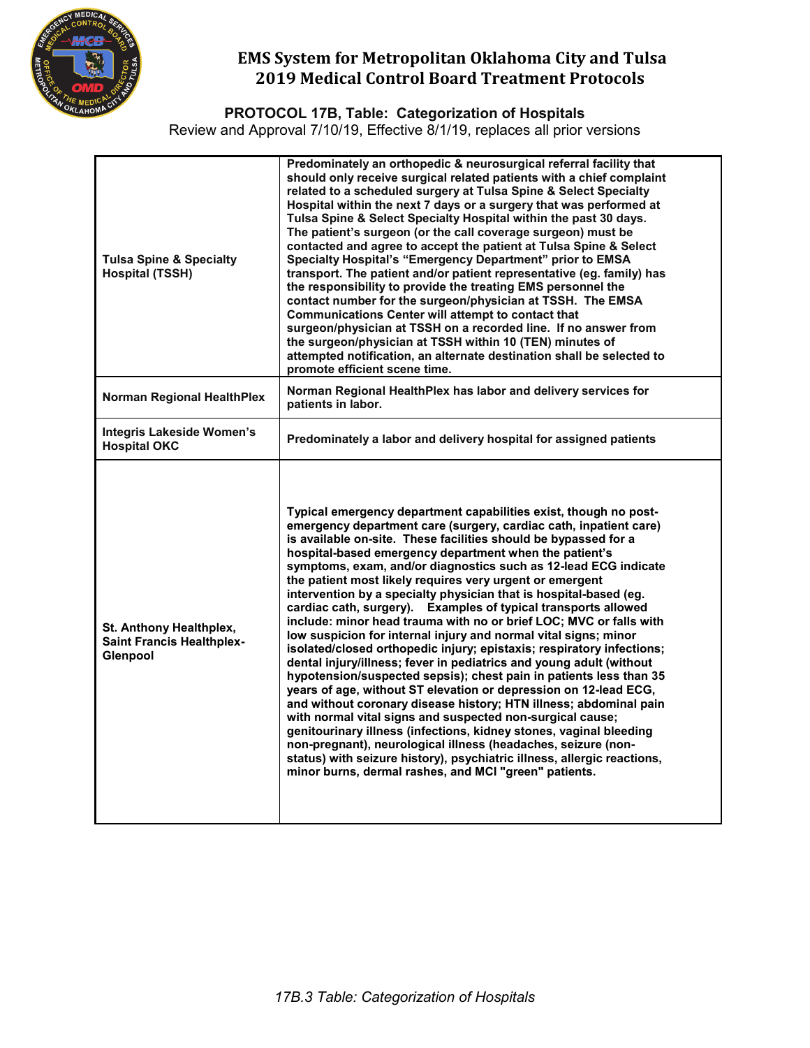

**PROTOCOL 17B, Table: Categorization of Hospitals**

Review and Approval 7/10/19, Effective 8/1/19, replaces all prior versions

| <b>Tulsa Spine &amp; Specialty</b><br><b>Hospital (TSSH)</b>            | Predominately an orthopedic & neurosurgical referral facility that<br>should only receive surgical related patients with a chief complaint<br>related to a scheduled surgery at Tulsa Spine & Select Specialty<br>Hospital within the next 7 days or a surgery that was performed at<br>Tulsa Spine & Select Specialty Hospital within the past 30 days.<br>The patient's surgeon (or the call coverage surgeon) must be<br>contacted and agree to accept the patient at Tulsa Spine & Select<br>Specialty Hospital's "Emergency Department" prior to EMSA<br>transport. The patient and/or patient representative (eg. family) has<br>the responsibility to provide the treating EMS personnel the<br>contact number for the surgeon/physician at TSSH. The EMSA<br><b>Communications Center will attempt to contact that</b><br>surgeon/physician at TSSH on a recorded line. If no answer from<br>the surgeon/physician at TSSH within 10 (TEN) minutes of<br>attempted notification, an alternate destination shall be selected to<br>promote efficient scene time.                                                                                                                                                                                                                                                                                                                  |
|-------------------------------------------------------------------------|------------------------------------------------------------------------------------------------------------------------------------------------------------------------------------------------------------------------------------------------------------------------------------------------------------------------------------------------------------------------------------------------------------------------------------------------------------------------------------------------------------------------------------------------------------------------------------------------------------------------------------------------------------------------------------------------------------------------------------------------------------------------------------------------------------------------------------------------------------------------------------------------------------------------------------------------------------------------------------------------------------------------------------------------------------------------------------------------------------------------------------------------------------------------------------------------------------------------------------------------------------------------------------------------------------------------------------------------------------------------------------------|
| <b>Norman Regional HealthPlex</b>                                       | Norman Regional HealthPlex has labor and delivery services for<br>patients in labor.                                                                                                                                                                                                                                                                                                                                                                                                                                                                                                                                                                                                                                                                                                                                                                                                                                                                                                                                                                                                                                                                                                                                                                                                                                                                                                     |
| <b>Integris Lakeside Women's</b><br><b>Hospital OKC</b>                 | Predominately a labor and delivery hospital for assigned patients                                                                                                                                                                                                                                                                                                                                                                                                                                                                                                                                                                                                                                                                                                                                                                                                                                                                                                                                                                                                                                                                                                                                                                                                                                                                                                                        |
| St. Anthony Healthplex,<br><b>Saint Francis Healthplex-</b><br>Glenpool | Typical emergency department capabilities exist, though no post-<br>emergency department care (surgery, cardiac cath, inpatient care)<br>is available on-site. These facilities should be bypassed for a<br>hospital-based emergency department when the patient's<br>symptoms, exam, and/or diagnostics such as 12-lead ECG indicate<br>the patient most likely requires very urgent or emergent<br>intervention by a specialty physician that is hospital-based (eg.<br>cardiac cath, surgery). Examples of typical transports allowed<br>include: minor head trauma with no or brief LOC; MVC or falls with<br>low suspicion for internal injury and normal vital signs; minor<br>isolated/closed orthopedic injury; epistaxis; respiratory infections;<br>dental injury/illness; fever in pediatrics and young adult (without<br>hypotension/suspected sepsis); chest pain in patients less than 35<br>years of age, without ST elevation or depression on 12-lead ECG,<br>and without coronary disease history; HTN illness; abdominal pain<br>with normal vital signs and suspected non-surgical cause;<br>genitourinary illness (infections, kidney stones, vaginal bleeding<br>non-pregnant), neurological illness (headaches, seizure (non-<br>status) with seizure history), psychiatric illness, allergic reactions,<br>minor burns, dermal rashes, and MCI "green" patients. |